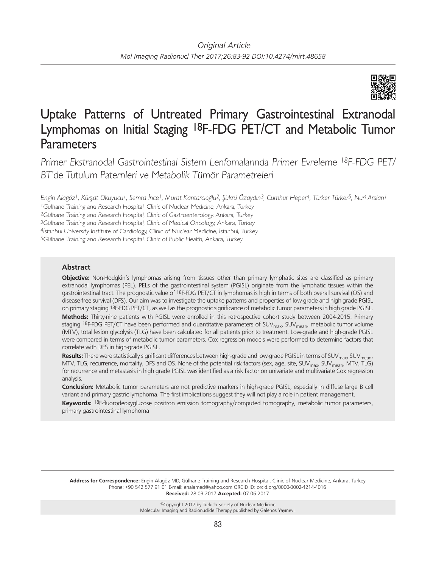

# Uptake Patterns of Untreated Primary Gastrointestinal Extranodal Lymphomas on Initial Staging 18F-FDG PET/CT and Metabolic Tumor **Parameters**

Primer Ekstranodal Gastrointestinal Sistem Lenfomalarında Primer Evreleme <sup>18</sup>F-FDG PET/ BT'de Tutulum Paternleri ve Metabolik Tümör Parametreleri

*Engin Alagöz1, Kürşat Okuyucu1, Semra İnce1, Murat Kantarcıoğlu2, Şükrü Özaydın3, Cumhur Heper4, Türker Türker5, Nuri Arslan1*

<sup>1</sup>Gülhane Training and Research Hospital, Clinic of Nuclear Medicine, Ankara, Turkey

<sup>2</sup>Gülhane Training and Research Hospital, Clinic of Gastroenterology, Ankara, Turkey

<sup>3</sup>Gülhane Training and Research Hospital, Clinic of Medical Oncology, Ankara, Turkey

<sup>4</sup>İstanbul University Institute of Cardiology, Clinic of Nuclear Medicine, İstanbul, Turkey

<sup>5</sup>Gülhane Training and Research Hospital, Clinic of Public Health, Ankara, Turkey

## **Abstract**

**Objective:** Non-Hodgkin's lymphomas arising from tissues other than primary lymphatic sites are classified as primary extranodal lymphomas (PEL). PELs of the gastrointestinal system (PGISL) originate from the lymphatic tissues within the gastrointestinal tract. The prognostic value of 18F-FDG PET/CT in lymphomas is high in terms of both overall survival (OS) and disease-free survival (DFS). Our aim was to investigate the uptake patterns and properties of low-grade and high-grade PGISL on primary staging 18F-FDG PET/CT, as well as the prognostic significance of metabolic tumor parameters in high grade PGISL. **Methods:** Thirty-nine patients with PGISL were enrolled in this retrospective cohort study between 2004-2015. Primary staging 18F-FDG PET/CT have been performed and quantitative parameters of SUV<sub>max</sub>, SUV<sub>mean</sub>, metabolic tumor volume (MTV), total lesion glycolysis (TLG) have been calculated for all patients prior to treatment. Low-grade and high-grade PGISL were compared in terms of metabolic tumor parameters. Cox regression models were performed to determine factors that correlate with DFS in high-grade PGISL.

**Results:** There were statistically significant differences between high-grade and low-grade PGISL in terms of SUV<sub>mean</sub>, MTV, TLG, recurrence, mortality, DFS and OS. None of the potential risk factors (sex, age, site, SUV<sub>max</sub>, SUV<sub>mean</sub>, MTV, TLG) for recurrence and metastasis in high grade PGISL was identified as a risk factor on univariate and multivariate Cox regression analysis.

**Conclusion:** Metabolic tumor parameters are not predictive markers in high-grade PGISL, especially in diffuse large B cell variant and primary gastric lymphoma. The first implications suggest they will not play a role in patient management.

**Keywords:** 18F-fluorodeoxyglucose positron emission tomography/computed tomography, metabolic tumor parameters, primary gastrointestinal lymphoma

**Address for Correspondence:** Engin Alagöz MD, Gülhane Training and Research Hospital, Clinic of Nuclear Medicine, Ankara, Turkey Phone: +90 542 577 91 01 E-mail: enalamed@yahoo.com ORCID ID: orcid.org/0000-0002-4214-4016 **Received:** 28.03.2017 **Accepted:** 07.06.2017

> ©Copyright 2017 by Turkish Society of Nuclear Medicine Molecular Imaging and Radionuclide Therapy published by Galenos Yayınevi.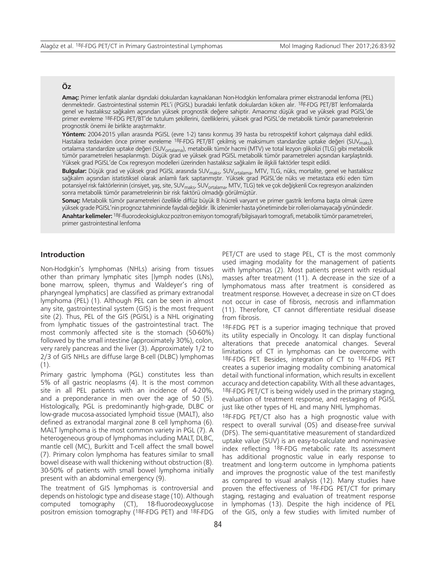## **Öz**

**Amaç:** Primer lenfatik alanlar dışındaki dokulardan kaynaklanan Non-Hodgkin lenfomalara primer ekstranodal lenfoma (PEL) denmektedir. Gastrointestinal sistemin PEL'i (PGISL) buradaki lenfatik dokulardan köken alır. 18F-FDG PET/BT lenfomalarda genel ve hastalıksız sağkalım açısından yüksek prognostik değere sahiptir. Amacımız düşük grad ve yüksek grad PGISL'de primer evreleme 18F-FDG PET/BT'de tutulum şekillerini, özelliklerini, yüksek grad PGISL'de metabolik tümör parametrelerinin prognostik önemi ile birlikte araştırmaktır.

**Yöntem:** 2004-2015 yılları arasında PGISL (evre 1-2) tanısı konmuş 39 hasta bu retrospektif kohort çalışmaya dahil edildi. Hastalara tedaviden önce primer evreleme <sup>18</sup>F-FDG PET/BT çekilmiş ve maksimum standardize uptake değeri (SUV<sub>maks</sub>), ortalama standardize uptake değeri (SUV<sub>ortalama</sub>), metabolik tümör hacmi (MTV) ve total lezyon glikolizi (TLG) gibi metabolik tümör parametreleri hesaplanmıştı. Düşük grad ve yüksek grad PGISL metabolik tümör parametreleri açısından karşılaştırıldı. Yüksek grad PGISL'de Cox regresyon modelleri üzerinden hastalıksız sağkalım ile ilişkili faktörler tespit edildi.

Bulgular: Düşük grad ve yüksek grad PGISL arasında SUV<sub>maks</sub>, SUV<sub>ortalama</sub>, MTV, TLG, nüks, mortalite, genel ve hastalıksız sağkalım açısından istatistiksel olarak anlamlı fark saptanmıştır. Yüksek grad PGISL'de nüks ve metastaza etki eden tüm potansiyel risk faktörlerinin (cinsiyet, yaş, site, SUV<sub>maks</sub>, SUV<sub>ortalama</sub>, MTV, TLG) tek ve çok değişkenli Cox regresyon analizinden sonra metabolik tümör parametrelerinin bir risk faktörü olmadığı görülmüştür.

**Sonuç:** Metabolik tümör parametreleri özellikle diffüz büyük B hücreli varyant ve primer gastrik lenfoma başta olmak üzere yüksek grade PGISL'nin prognoz tahmininde faydalı değildir. İlk izlenimler hasta yönetiminde bir rolleri olamayacağı yönündedir. **Anahtar kelimeler:** 18F-fluorodeoksiglukoz pozitron emisyon tomografi/bilgisayarlı tomografi, metabolik tümör parametreleri, primer gastrointestinal lenfoma

## **Introduction**

Non-Hodgkin's lymphomas (NHLs) arising from tissues other than primary lymphatic sites [lymph nodes (LNs), bone marrow, spleen, thymus and Waldeyer's ring of pharyngeal lymphatics] are classified as primary extranodal lymphoma (PEL) (1). Although PEL can be seen in almost any site, gastrointestinal system (GIS) is the most frequent site (2). Thus, PEL of the GIS (PGISL) is a NHL originating from lymphatic tissues of the gastrointestinal tract. The most commonly affected site is the stomach (50-60%) followed by the small intestine (approximately 30%), colon, very rarely pancreas and the liver (3). Approximately 1/2 to 2/3 of GIS NHLs are diffuse large B-cell (DLBC) lymphomas (1).

Primary gastric lymphoma (PGL) constitutes less than 5% of all gastric neoplasms (4). It is the most common site in all PEL patients with an incidence of 4-20%, and a preponderance in men over the age of 50 (5). Histologically, PGL is predominantly high-grade, DLBC or low-grade mucosa-associated lymphoid tissue (MALT), also defined as extranodal marginal zone B cell lymphoma (6). MALT lymphoma is the most common variety in PGL (7). A heterogeneous group of lymphomas including MALT, DLBC, mantle cell (MC), Burkitt and T-cell affect the small bowel (7). Primary colon lymphoma has features similar to small bowel disease with wall thickening without obstruction (8). 30-50% of patients with small bowel lymphoma initially present with an abdominal emergency (9).

The treatment of GIS lymphomas is controversial and depends on histologic type and disease stage (10). Although computed tomography (CT), 18-fluorodeoxyglucose positron emission tomography (18F-FDG PET) and 18F-FDG PET/CT are used to stage PEL, CT is the most commonly used imaging modality for the management of patients with lymphomas (2). Most patients present with residual masses after treatment (11). A decrease in the size of a lymphomatous mass after treatment is considered as treatment response. However, a decrease in size on CT does not occur in case of fibrosis, necrosis and inflammation (11). Therefore, CT cannot differentiate residual disease from fibrosis.

18F-FDG PET is a superior imaging technique that proved its utility especially in Oncology. It can display functional alterations that precede anatomical changes. Several limitations of CT in lymphomas can be overcome with 18F-FDG PET. Besides, integration of CT to 18F-FDG PET creates a superior imaging modality combining anatomical detail with functional information, which results in excellent accuracy and detection capability. With all these advantages, 18F-FDG PET/CT is being widely used in the primary staging, evaluation of treatment response, and restaging of PGISL just like other types of HL and many NHL lymphomas.

18F-FDG PET/CT also has a high prognostic value with respect to overall survival (OS) and disease-free survival (DFS). The semi-quantitative measurement of standardized uptake value (SUV) is an easy-to-calculate and noninvasive index reflecting 18F-FDG metabolic rate. Its assessment has additional prognostic value in early response to treatment and long-term outcome in lymphoma patients and improves the prognostic value of the test manifestly as compared to visual analysis (12). Many studies have proven the effectiveness of 18F-FDG PET/CT for primary staging, restaging and evaluation of treatment response in lymphomas (13). Despite the high incidence of PEL of the GIS, only a few studies with limited number of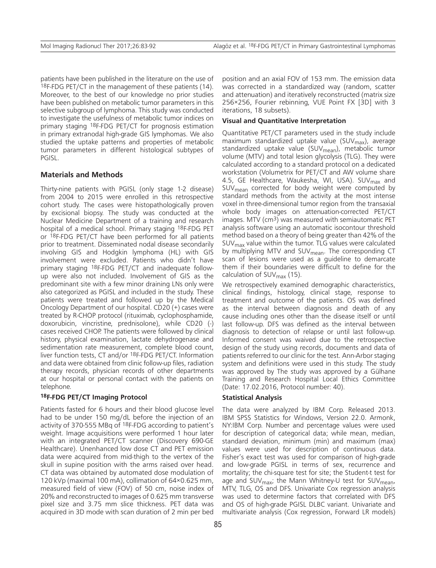patients have been published in the literature on the use of 18F-FDG PET/CT in the management of these patients (14). Moreover, to the best of our knowledge no prior studies have been published on metabolic tumor parameters in this selective subgroup of lymphoma. This study was conducted to investigate the usefulness of metabolic tumor indices on primary staging 18F-FDG PET/CT for prognosis estimation in primary extranodal high-grade GIS lymphomas. We also studied the uptake patterns and properties of metabolic tumor parameters in different histological subtypes of PGISL.

### **Materials and Methods**

Thirty-nine patients with PGISL (only stage 1-2 disease) from 2004 to 2015 were enrolled in this retrospective cohort study. The cases were histopathologically proven by excisional biopsy. The study was conducted at the Nuclear Medicine Department of a training and research hospital of a medical school. Primary staging 18F-FDG PET or 18F-FDG PET/CT have been performed for all patients prior to treatment. Disseminated nodal disease secondarily involving GIS and Hodgkin lymphoma (HL) with GIS involvement were excluded. Patients who didn't have primary staging 18F-FDG PET/CT and inadequate followup were also not included. Involvement of GIS as the predominant site with a few minor draining LNs only were also categorized as PGISL and included in the study. These patients were treated and followed up by the Medical Oncology Department of our hospital. CD20 (+) cases were treated by R-CHOP protocol (rituximab, cyclophosphamide, doxorubicin, vincristine, prednisolone), while CD20 (-) cases received CHOP. The patients were followed by clinical history, physical examination, lactate dehydrogenase and sedimentation rate measurement, complete blood count, liver function tests, CT and/or 18F-FDG PET/CT. Information and data were obtained from clinic follow-up files, radiation therapy records, physician records of other departments at our hospital or personal contact with the patients on telephone.

#### **18F-FDG PET/CT Imaging Protocol**

Patients fasted for 6 hours and their blood glucose level had to be under 150 mg/dL before the injection of an activity of 370-555 MBq of 18F-FDG according to patient's weight. Image acquisitions were performed 1 hour later with an integrated PET/CT scanner (Discovery 690-GE Healthcare). Unenhanced low dose CT and PET emission data were acquired from mid-thigh to the vertex of the skull in supine position with the arms raised over head. CT data was obtained by automated dose modulation of 120 kVp (maximal 100 mA), collimation of 64×0.625 mm, measured field of view (FOV) of 50 cm, noise index of 20% and reconstructed to images of 0.625 mm transverse pixel size and 3.75 mm slice thickness. PET data was acquired in 3D mode with scan duration of 2 min per bed

position and an axial FOV of 153 mm. The emission data was corrected in a standardized way (random, scatter and attenuation) and iteratively reconstructed (matrix size 256×256, Fourier rebinning, VUE Point FX [3D] with 3 iterations, 18 subsets).

#### **Visual and Quantitative Interpretation**

Quantitative PET/CT parameters used in the study include maximum standardized uptake value (SUV $_{max}$ ), average standardized uptake value (SUV $_{\text{mean}}$ ), metabolic tumor volume (MTV) and total lesion glycolysis (TLG). They were calculated according to a standard protocol on a dedicated workstation (Volumetrix for PET/CT and AW volume share 4.5, GE Healthcare, Waukesha, WI, USA). SUV<sub>max</sub> and SUV<sub>mean</sub> corrected for body weight were computed by standard methods from the activity at the most intense voxel in three-dimensional tumor region from the transaxial whole body images on attenuation-corrected PET/CT images. MTV (cm3) was measured with semiautomatic PET analysis software using an automatic isocontour threshold method based on a theory of being greater than 42% of the  $SUV_{\text{max}}$  value within the tumor. TLG values were calculated by multiplying MTV and  $SUV_{mean}$ . The corresponding CT scan of lesions were used as a guideline to demarcate them if their boundaries were difficult to define for the calculation of  $SUV_{\text{max}}$  (15).

We retrospectively examined demographic characteristics, clinical findings, histology, clinical stage, response to treatment and outcome of the patients. OS was defined as the interval between diagnosis and death of any cause including ones other than the disease itself or until last follow-up. DFS was defined as the interval between diagnosis to detection of relapse or until last follow-up. Informed consent was waived due to the retrospective design of the study using records, documents and data of patients referred to our clinic for the test. Ann-Arbor staging system and definitions were used in this study. The study was approved by The study was approved by a Gülhane Training and Research Hospital Local Ethics Committee (Date: 17.02.2016, Protocol number: 40).

#### **Statistical Analysis**

The data were analyzed by IBM Corp. Released 2013. IBM SPSS Statistics for Windows, Version 22.0. Armonk, NY:IBM Corp. Number and percentage values were used for description of categorical data; while mean, median, standard deviation, minimum (min) and maximum (max) values were used for description of continuous data. Fisher's exact test was used for comparison of high-grade and low-grade PGISL in terms of sex, recurrence and mortality; the chi-square test for site; the Student-t test for age and SUV $_{\text{max}}$ ; the Mann Whitney-U test for SUV $_{\text{mean}}$ , MTV, TLG, OS and DFS. Univariate Cox regression analysis was used to determine factors that correlated with DFS and OS of high-grade PGISL DLBC variant. Univariate and multivariate analysis (Cox regression, Forward LR models)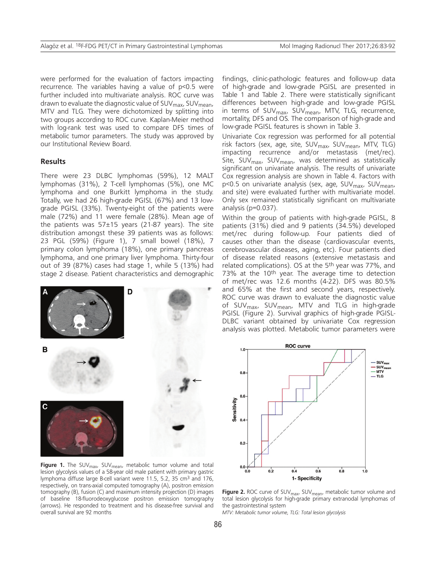were performed for the evaluation of factors impacting recurrence. The variables having a value of p<0.5 were further included into multivariate analysis. ROC curve was drawn to evaluate the diagnostic value of SUV<sub>max</sub>, SUV<sub>mean</sub>, MTV and TLG. They were dichotomized by splitting into two groups according to ROC curve. Kaplan-Meier method with log-rank test was used to compare DFS times of metabolic tumor parameters. The study was approved by our Institutional Review Board.

#### **Results**

There were 23 DLBC lymphomas (59%), 12 MALT lymphomas (31%), 2 T-cell lymphomas (5%), one MC lymphoma and one Burkitt lymphoma in the study. Totally, we had 26 high-grade PGISL (67%) and 13 lowgrade PGISL (33%). Twenty-eight of the patients were male (72%) and 11 were female (28%). Mean age of the patients was  $57±15$  years (21-87 years). The site distribution amongst these 39 patients was as follows: 23 PGL (59%) (Figure 1), 7 small bowel (18%), 7 primary colon lymphoma (18%), one primary pancreas lymphoma, and one primary liver lymphoma. Thirty-four out of 39 (87%) cases had stage 1, while 5 (13%) had stage 2 disease. Patient characteristics and demographic



**Figure 1.** The SUV<sub>max</sub>, SUV<sub>mean</sub>, metabolic tumor volume and total lesion glycolysis values of a 58-year old male patient with primary gastric lymphoma diffuse large B-cell variant were 11.5, 5.2, 35 cm<sup>3</sup> and 176, respectively, on trans-axial computed tomography (A), positron emission tomography (B), fusion (C) and maximum intensity projection (D) images of baseline 18-fluorodeoxyglucose positron emission tomography (arrows). He responded to treatment and his disease-free survival and overall survival are 92 months

findings, clinic-pathologic features and follow-up data of high-grade and low-grade PGISL are presented in Table 1 and Table 2. There were statistically significant differences between high-grade and low-grade PGISL in terms of SUV<sub>max</sub>, SUV<sub>mean</sub>, MTV, TLG, recurrence, mortality, DFS and OS. The comparison of high-grade and low-grade PGISL features is shown in Table 3.

Univariate Cox regression was performed for all potential risk factors (sex, age, site, SUV<sub>max</sub>, SUV<sub>mean</sub>, MTV, TLG) impacting recurrence and/or metastasis (met/rec). Site, SUV $_{\text{max}}$ , SUV $_{\text{mean}}$ , was determined as statistically significant on univariate analysis. The results of univariate Cox regression analysis are shown in Table 4. Factors with p<0.5 on univariate analysis (sex, age, SUV<sub>max</sub>, SUV<sub>mean</sub>, and site) were evaluated further with multivariate model. Only sex remained statistically significant on multivariate analysis (p=0.037).

Within the group of patients with high-grade PGISL, 8 patients (31%) died and 9 patients (34.5%) developed met/rec during follow-up. Four patients died of causes other than the disease (cardiovascular events, cerebrovascular diseases, aging, etc). Four patients died of disease related reasons (extensive metastasis and related complications). OS at the 5<sup>th</sup> year was 77%, and 73% at the 10th year. The average time to detection of met/rec was 12.6 months (4-22). DFS was 80.5% and 65% at the first and second years, respectively. ROC curve was drawn to evaluate the diagnostic value of SUV<sub>max</sub>, SUV<sub>mean</sub>, MTV and TLG in high-grade PGISL (Figure 2). Survival graphics of high-grade PGISL-DLBC variant obtained by univariate Cox regression analysis was plotted. Metabolic tumor parameters were



Figure 2. ROC curve of SUV<sub>max</sub>, SUV<sub>mean</sub>, metabolic tumor volume and total lesion glycolysis for high-grade primary extranodal lymphomas of the gastrointestinal system

*MTV: Metabolic tumor volume, TLG: Total lesion glycolysis*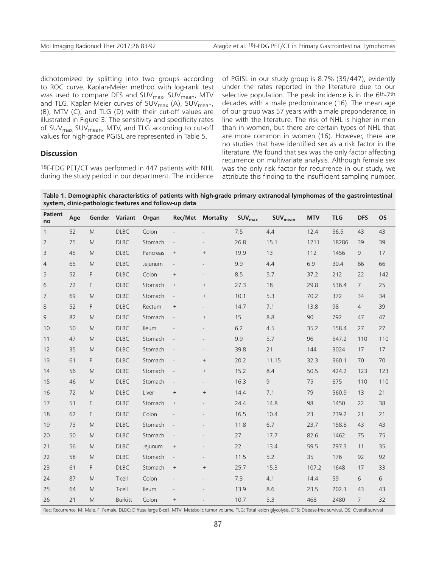dichotomized by splitting into two groups according to ROC curve. Kaplan-Meier method with log-rank test was used to compare DFS and SUV<sub>max</sub>, SUV<sub>mean</sub>, MTV and TLG. Kaplan-Meier curves of SUV<sub>max</sub> (A), SUV<sub>mean</sub>, (B), MTV (C), and TLG (D) with their cut-off values are illustrated in Figure 3. The sensitivity and specificity rates of SUV<sub>max</sub> SUV<sub>mean</sub>, MTV, and TLG according to cut-off values for high-grade PGISL are represented in Table 5.

#### **Discussion**

18F-FDG PET/CT was performed in 447 patients with NHL during the study period in our department. The incidence

of PGISL in our study group is 8.7% (39/447), evidently under the rates reported in the literature due to our selective population. The peak incidence is in the 6th-7th decades with a male predominance (16). The mean age of our group was 57 years with a male preponderance, in line with the literature. The risk of NHL is higher in men than in women, but there are certain types of NHL that are more common in women (16). However, there are no studies that have identified sex as a risk factor in the literature. We found that sex was the only factor affecting recurrence on multivariate analysis. Although female sex was the only risk factor for recurrence in our study, we attribute this finding to the insufficient sampling number,

**Table 1. Demographic characteristics of patients with high-grade primary extranodal lymphomas of the gastrointestinal system, clinic-pathologic features and follow-up data** 

| <b>Patient</b><br>no | Age |                                                                                                            | Gender Variant | Organ        |                                  | <b>Rec/Met Mortality</b> | <b>SUV</b> <sub>max</sub> | SUV <sub>mean</sub> | <b>MTV</b> | <b>TLG</b> | <b>DFS</b>     | <b>OS</b> |
|----------------------|-----|------------------------------------------------------------------------------------------------------------|----------------|--------------|----------------------------------|--------------------------|---------------------------|---------------------|------------|------------|----------------|-----------|
| $\mathbf{1}$         | 52  | M                                                                                                          | <b>DLBC</b>    | Colon        |                                  | $\overline{\phantom{m}}$ | 7.5                       | 4.4                 | 12.4       | 56.5       | 43             | 43        |
| $\overline{2}$       | 75  | $\mathsf{M}% _{T}=\mathsf{M}_{T}\!\left( a,b\right) ,\ \mathsf{M}_{T}=\mathsf{M}_{T}\!\left( a,b\right) ,$ | <b>DLBC</b>    | Stomach      | $\overline{\phantom{a}}$         |                          | 26.8                      | 15.1                | 1211       | 18286      | 39             | 39        |
| 3                    | 45  | M                                                                                                          | <b>DLBC</b>    | Pancreas     | $^+$                             | $\! + \!\!\!\!$          | 19.9                      | 13                  | 112        | 1456       | 9              | 17        |
| 4                    | 65  | M                                                                                                          | <b>DLBC</b>    | Jejunum      | $\overline{\phantom{a}}$         |                          | 9.9                       | 4.4                 | 6.9        | 30.4       | 66             | 66        |
| 5                    | 52  | F                                                                                                          | <b>DLBC</b>    | Colon        | $\begin{array}{c} + \end{array}$ |                          | 8.5                       | 5.7                 | 37.2       | 212        | 22             | 142       |
| 6                    | 72  | F                                                                                                          | <b>DLBC</b>    | Stomach      | $\begin{array}{c} + \end{array}$ |                          | 27.3                      | 18                  | 29.8       | 536.4      | $\overline{7}$ | 25        |
| $\overline{7}$       | 69  | M                                                                                                          | D L B C        | Stomach      | $\overline{\phantom{a}}$         | $\! + \!\!\!\!$          | 10.1                      | 5.3                 | 70.2       | 372        | 34             | 34        |
| 8                    | 52  | F                                                                                                          | <b>DLBC</b>    | Rectum       | $^+$                             |                          | 14.7                      | 7.1                 | 13.8       | 98         | $\overline{4}$ | 39        |
| 9                    | 82  | M                                                                                                          | <b>DLBC</b>    | Stomach      | $\overline{\phantom{a}}$         | $\! + \!\!\!\!$          | 15                        | 8.8                 | 90         | 792        | 47             | 47        |
| 10                   | 50  | M                                                                                                          | <b>DLBC</b>    | Ileum        |                                  |                          | 6.2                       | 4.5                 | 35.2       | 158.4      | 27             | 27        |
| 11                   | 47  | M                                                                                                          | <b>DLBC</b>    | Stomach      | $\blacksquare$                   |                          | 9.9                       | 5.7                 | 96         | 547.2      | 110            | 110       |
| 12                   | 35  | M                                                                                                          | <b>DLBC</b>    | Stomach      | $\blacksquare$                   |                          | 39.8                      | 21                  | 144        | 3024       | 17             | 17        |
| 13                   | 61  | F                                                                                                          | <b>DLBC</b>    | Stomach      | $\overline{\phantom{a}}$         | $+$                      | 20.2                      | 11.15               | 32.3       | 360.1      | 70             | 70        |
| 14                   | 56  | M                                                                                                          | <b>DLBC</b>    | Stomach      | $\overline{\phantom{a}}$         | $\! + \!\!\!\!$          | 15.2                      | 8.4                 | 50.5       | 424.2      | 123            | 123       |
| 15                   | 46  | M                                                                                                          | D L B C        | Stomach      | $\overline{\phantom{a}}$         |                          | 16.3                      | 9                   | 75         | 675        | 110            | 110       |
| 16                   | 72  | M                                                                                                          | <b>DLBC</b>    | Liver        | $\qquad \qquad +$                |                          | 14.4                      | 7.1                 | 79         | 560.9      | 13             | 21        |
| 17                   | 51  | F                                                                                                          | <b>DLBC</b>    | Stomach      | $\! + \!\!\!\!$                  |                          | 24.4                      | 14.8                | 98         | 1450       | 22             | 38        |
| 18                   | 62  | F                                                                                                          | <b>DLBC</b>    | Colon        | $\overline{\phantom{a}}$         |                          | 16.5                      | 10.4                | 23         | 239.2      | 21             | 21        |
| 19                   | 73  | M                                                                                                          | <b>DLBC</b>    | Stomach      | $\overline{\phantom{a}}$         |                          | 11.8                      | 6.7                 | 23.7       | 158.8      | 43             | 43        |
| 20                   | 50  | M                                                                                                          | <b>DLBC</b>    | Stomach      | $\overline{\phantom{a}}$         |                          | 27                        | 17.7                | 82.6       | 1462       | 75             | 75        |
| 21                   | 56  | M                                                                                                          | <b>DLBC</b>    | Jejunum      | $\begin{array}{c} + \end{array}$ |                          | 22                        | 13.4                | 59.5       | 797.3      | 11             | 35        |
| 22                   | 58  | M                                                                                                          | <b>DLBC</b>    | Stomach      | $\overline{\phantom{a}}$         |                          | 11.5                      | 5.2                 | 35         | 176        | 92             | 92        |
| 23                   | 61  | F                                                                                                          | D L B C        | Stomach      | $^+$                             |                          | 25.7                      | 15.3                | 107.2      | 1648       | 17             | 33        |
| 24                   | 87  | M                                                                                                          | T-cell         | Colon        |                                  |                          | 7.3                       | 4.1                 | 14.4       | 59         | 6              | 6         |
| 25                   | 64  | M                                                                                                          | T-cell         | <b>Ileum</b> |                                  |                          | 13.9                      | 8.6                 | 23.5       | 202.1      | 43             | 43        |
| 26                   | 21  | M                                                                                                          | <b>Burkitt</b> | Colon        | $\! + \!\!\!\!$                  |                          | 10.7                      | 5.3                 | 468        | 2480       | $\overline{7}$ | 32        |

Rec: Recurrence, M: Male, F: Female, DLBC: Diffuse large B-cell, MTV: Metabolic tumor volume, TLG: Total lesion glycolysis, DFS: Disease-free survival, OS: Overall survival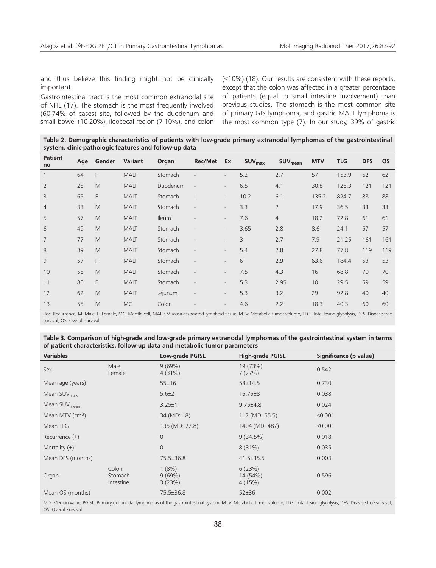and thus believe this finding might not be clinically important.

Gastrointestinal tract is the most common extranodal site of NHL (17). The stomach is the most frequently involved (60-74% of cases) site, followed by the duodenum and small bowel (10-20%), ileocecal region (7-10%), and colon (<10%) (18). Our results are consistent with these reports, except that the colon was affected in a greater percentage of patients (equal to small intestine involvement) than previous studies. The stomach is the most common site of primary GIS lymphoma, and gastric MALT lymphoma is the most common type (7). In our study, 39% of gastric

**Table 2. Demographic characteristics of patients with low-grade primary extranodal lymphomas of the gastrointestinal system, clinic-pathologic features and follow-up data**

| <b>Patient</b><br>no | Age | Gender | Variant     | Organ        | <b>Rec/Met</b> | Ex                       | <b>SUV<sub>max</sub></b> | <b>SUV</b> <sub>mean</sub> | <b>MTV</b> | <b>TLG</b> | <b>DFS</b> | <b>OS</b> |
|----------------------|-----|--------|-------------|--------------|----------------|--------------------------|--------------------------|----------------------------|------------|------------|------------|-----------|
| $\mathbf{1}$         | 64  | F      | <b>MALT</b> | Stomach      |                | $\overline{a}$           | 5.2                      | 2.7                        | 57         | 153.9      | 62         | 62        |
| $\overline{2}$       | 25  | M      | <b>MALT</b> | Duodenum     | L,             |                          | 6.5                      | 4.1                        | 30.8       | 126.3      | 121        | 121       |
| 3                    | 65  | F      | <b>MALT</b> | Stomach      |                | $\overline{\phantom{a}}$ | 10.2                     | 6.1                        | 135.2      | 824.7      | 88         | 88        |
| $\overline{4}$       | 33  | M      | <b>MALT</b> | Stomach      |                | $\overline{a}$           | 3.3                      | $\overline{2}$             | 17.9       | 36.5       | 33         | 33        |
| 5                    | 57  | M      | <b>MALT</b> | <b>Ileum</b> |                | $\overline{\phantom{a}}$ | 7.6                      | 4                          | 18.2       | 72.8       | 61         | 61        |
| 6                    | 49  | M      | <b>MALT</b> | Stomach      |                | $\overline{\phantom{a}}$ | 3.65                     | 2.8                        | 8.6        | 24.1       | 57         | 57        |
| $\overline{7}$       | 77  | M      | <b>MALT</b> | Stomach      |                |                          | 3                        | 2.7                        | 7.9        | 21.25      | 161        | 161       |
| 8                    | 39  | M      | <b>MALT</b> | Stomach      |                | $\overline{\phantom{a}}$ | 5.4                      | 2.8                        | 27.8       | 77.8       | 119        | 119       |
| 9                    | 57  | F      | <b>MALT</b> | Stomach      |                | $\overline{\phantom{a}}$ | 6                        | 2.9                        | 63.6       | 184.4      | 53         | 53        |
| 10                   | 55  | M      | <b>MALT</b> | Stomach      |                |                          | 7.5                      | 4.3                        | 16         | 68.8       | 70         | 70        |
| 11                   | 80  | F      | <b>MALT</b> | Stomach      |                |                          | 5.3                      | 2.95                       | 10         | 29.5       | 59         | 59        |
| 12                   | 62  | M      | <b>MALT</b> | Jejunum      |                | $\overline{\phantom{a}}$ | 5.3                      | 3.2                        | 29         | 92.8       | 40         | 40        |
| 13                   | 55  | M      | <b>MC</b>   | Colon        |                | $\overline{\phantom{0}}$ | 4.6                      | 2.2                        | 18.3       | 40.3       | 60         | 60        |

Rec: Recurrence, M: Male, F: Female, MC: Mantle cell, MALT: Mucosa-associated lymphoid tissue, MTV: Metabolic tumor volume, TLG: Total lesion glycolysis, DFS: Disease-free survival, OS: Overall survival

| Table 3. Comparison of high-grade and low-grade primary extranodal lymphomas of the gastrointestinal system in terms |
|----------------------------------------------------------------------------------------------------------------------|
| of patient characteristics, follow-up data and metabolic tumor parameters                                            |

| <b>Variables</b>            |                               | <b>Low-grade PGISL</b>         | <b>High-grade PGISL</b>      | Significance (p value) |  |
|-----------------------------|-------------------------------|--------------------------------|------------------------------|------------------------|--|
| Sex                         | Male<br>Female                | 9(69%)<br>4(31%)               | 19 (73%)<br>7(27%)           | 0.542                  |  |
| Mean age (years)            |                               | $55 \pm 16$                    | 58±14.5                      | 0.730                  |  |
| Mean SUV <sub>max</sub>     |                               | $5.6 \pm 2$<br>$16.75 \pm 8$   |                              | 0.038                  |  |
| Mean SUV <sub>mean</sub>    |                               | $3.25 \pm 1$<br>$9.75 \pm 4.8$ |                              | 0.024                  |  |
| Mean MTV (cm <sup>3</sup> ) |                               | 34 (MD: 18)                    | 117 (MD: 55.5)               | < 0.001                |  |
| Mean TLG                    |                               | 135 (MD: 72.8)                 | 1404 (MD: 487)               | < 0.001                |  |
| Recurrence $(+)$            |                               | $\overline{0}$                 | 9(34.5%)                     | 0.018                  |  |
| Mortality $(+)$             |                               | $\overline{0}$                 | $8(31\%)$                    | 0.035                  |  |
| Mean DFS (months)           |                               | 75.5±36.8                      | $41.5 \pm 35.5$              | 0.003                  |  |
| Organ                       | Colon<br>Stomach<br>Intestine | 1(8%)<br>9(69%)<br>3(23%)      | 6(23%)<br>14 (54%)<br>4(15%) | 0.596                  |  |
| Mean OS (months)            |                               | 75.5±36.8                      | 52±36                        | 0.002                  |  |

MD: Median value, PGISL: Primary extranodal lymphomas of the gastrointestinal system, MTV: Metabolic tumor volume, TLG: Total lesion glycolysis, DFS: Disease-free survival, OS: Overall survival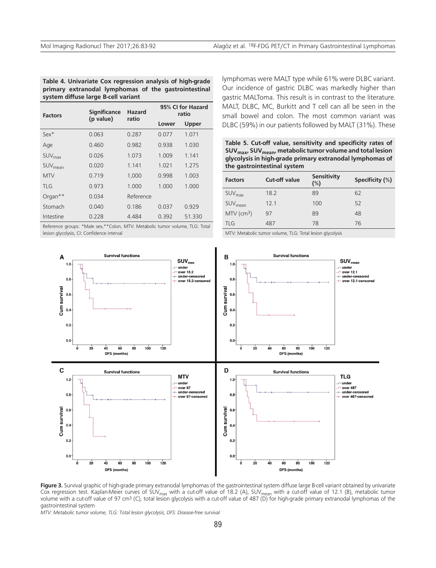**Table 4. Univariate Cox regression analysis of high-grade primary extranodal lymphomas of the gastrointestinal system diffuse large B-cell variant** 

| <b>Factors</b>      | <b>Significance</b><br>(p value) | Hazard<br>ratio | 95% CI for Hazard<br>ratio |        |  |
|---------------------|----------------------------------|-----------------|----------------------------|--------|--|
|                     |                                  |                 | Lower                      | Upper  |  |
| $Sex*$              | 0.063                            | 0.287           | 0.077                      | 1.071  |  |
| Age                 | 0.460                            | 0.982           | 0.938                      | 1.030  |  |
| SUV <sub>max</sub>  | 0.026                            | 1.073           | 1.009                      | 1.141  |  |
| SUV <sub>mean</sub> | 0.020                            | 1 1 4 1         | 1.021                      | 1.275  |  |
| <b>MTV</b>          | 0 7 1 9                          | 1,000           | 0.998                      | 1.003  |  |
| TI G                | 0.973                            | 1.000           | 1.000                      | 1.000  |  |
| Organ <sup>**</sup> | 0.034                            | Reference       |                            |        |  |
| Stomach             | 0.040                            | 0.186           | 0.037                      | 0.929  |  |
| Intestine           | 0.228                            | 4.484           | 0.392                      | 51.330 |  |

Reference groups: \*Male sex,\*\*Colon, MTV: Metabolic tumor volume, TLG: Total lesion glycolysis, CI: Confidence interval

lymphomas were MALT type while 61% were DLBC variant. Our incidence of gastric DLBC was markedly higher than gastric MALToma. This result is in contrast to the literature. MALT, DLBC, MC, Burkitt and T cell can all be seen in the small bowel and colon. The most common variant was DLBC (59%) in our patients followed by MALT (31%). These

**Table 5. Cut-off value, sensitivity and specificity rates of SUVmax, SUVmean, metabolic tumor volume and total lesion glycolysis in high-grade primary extranodal lymphomas of the gastrointestinal system**

| <b>Factors</b>           | <b>Cut-off value</b> | <b>Sensitivity</b><br>$(\%)$ | Specificity (%) |
|--------------------------|----------------------|------------------------------|-----------------|
| SUV <sub>max</sub>       | 18.2                 | 89                           | 62              |
| SUV <sub>mean</sub>      | 12.1                 | 100                          | 52              |
| $MTV$ (cm <sup>3</sup> ) | 97                   | 89                           | 48              |
| <b>TLG</b>               | 487                  | 78                           | 76              |

MTV: Metabolic tumor volume, TLG: Total lesion glycolysis



Figure 3. Survival graphic of high-grade primary extranodal lymphomas of the gastrointestinal system diffuse large B-cell variant obtained by univariate Cox regression test. Kaplan-Meier curves of SUV<sub>max</sub> with a cut-off value of 18.2 (A), SUV<sub>mean</sub> with a cut-off value of 12.1 (B), metabolic tumor volume with a cut-off value of 97 cm<sup>3</sup> (C), total lesion glycolysis with a cut-off value of 487 (D) for high-grade primary extranodal lymphomas of the gastrointestinal system

*MTV: Metabolic tumor volume, TLG: Total lesion glycolysis, DFS: Disease-free survival*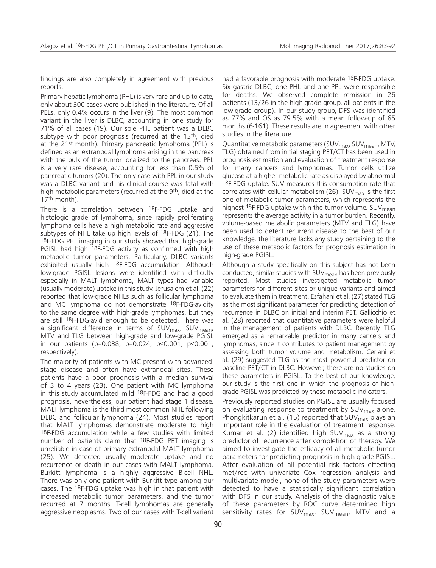findings are also completely in agreement with previous reports.

Primary hepatic lymphoma (PHL) is very rare and up to date, only about 300 cases were published in the literature. Of all PELs, only 0.4% occurs in the liver (9). The most common variant in the liver is DLBC, accounting in one study for 71% of all cases (19). Our sole PHL patient was a DLBC subtype with poor prognosis (recurred at the 13<sup>th</sup>, died at the 21st month). Primary pancreatic lymphoma (PPL) is defined as an extranodal lymphoma arising in the pancreas with the bulk of the tumor localized to the pancreas. PPL is a very rare disease, accounting for less than 0.5% of pancreatic tumors (20). The only case with PPL in our study was a DLBC variant and his clinical course was fatal with high metabolic parameters (recurred at the 9th, died at the 17th month).

There is a correlation between <sup>18</sup>F-FDG uptake and histologic grade of lymphoma, since rapidly proliferating lymphoma cells have a high metabolic rate and aggressive subtypes of NHL take up high levels of 18F-FDG (21). The 18F-FDG PET imaging in our study showed that high-grade PGISL had high <sup>18</sup>F-FDG activity as confirmed with high metabolic tumor parameters. Particularly, DLBC variants exhibited usually high 18F-FDG accumulation. Although low-grade PGISL lesions were identified with difficulty especially in MALT lymphoma, MALT types had variable (usually moderate) uptake in this study. Jerusalem et al. (22) reported that low-grade NHLs such as follicular lymphoma and MC lymphoma do not demonstrate 18F-FDG-avidity to the same degree with high-grade lymphomas, but they are still 18F-FDG-avid enough to be detected. There was a significant difference in terms of SUV<sub>max</sub>, SUV<sub>mean</sub>, MTV and TLG between high-grade and low-grade PGISL in our patients (p=0.038, p=0.024, p<0.001, p<0.001, respectively).

The majority of patients with MC present with advancedstage disease and often have extranodal sites. These patients have a poor prognosis with a median survival of 3 to 4 years (23). One patient with MC lymphoma in this study accumulated mild 18F-FDG and had a good prognosis, nevertheless, our patient had stage 1 disease. MALT lymphoma is the third most common NHL following DLBC and follicular lymphoma (24). Most studies report that MALT lymphomas demonstrate moderate to high 18F-FDG accumulation while a few studies with limited number of patients claim that 18F-FDG PET imaging is unreliable in case of primary extranodal MALT lymphoma (25). We detected usually moderate uptake and no recurrence or death in our cases with MALT lymphoma. Burkitt lymphoma is a highly aggressive B-cell NHL. There was only one patient with Burkitt type among our cases. The 18F-FDG uptake was high in that patient with increased metabolic tumor parameters, and the tumor recurred at 7 months. T-cell lymphomas are generally aggressive neoplasms. Two of our cases with T-cell variant had a favorable prognosis with moderate <sup>18</sup>F-FDG uptake. Six gastric DLBC, one PHL and one PPL were responsible for deaths. We observed complete remission in 26 patients (13/26 in the high-grade group, all patients in the low-grade group). In our study group, DFS was identified as 77% and OS as 79.5% with a mean follow-up of 65 months (6-161). These results are in agreement with other studies in the literature.

Quantitative metabolic parameters (SUV<sub>max</sub>, SUV<sub>mean</sub>, MTV, TLG) obtained from initial staging PET/CT has been used in prognosis estimation and evaluation of treatment response for many cancers and lymphomas. Tumor cells utilize glucose at a higher metabolic rate as displayed by abnormal 18F-FDG uptake. SUV measures this consumption rate that correlates with cellular metabolism (26).  $\text{SUV}_{\text{max}}$  is the first one of metabolic tumor parameters, which represents the highest <sup>18</sup>F-FDG uptake within the tumor volume. SUV<sub>mean</sub> represents the average activity in a tumor burden. Recently, volume-based metabolic parameters (MTV and TLG) have been used to detect recurrent disease to the best of our knowledge, the literature lacks any study pertaining to the use of these metabolic factors for prognosis estimation in high-grade PGISL.

Although a study specifically on this subject has not been conducted, similar studies with  $SUV_{mean}$  has been previously reported. Most studies investigated metabolic tumor parameters for different sites or unique variants and aimed to evaluate them in treatment. Esfahani et al. (27) stated TLG as the most significant parameter for predicting detection of recurrence in DLBC on initial and interim PET. Gallicchio et al. (28) reported that quantitative parameters were helpful in the management of patients with DLBC. Recently, TLG emerged as a remarkable predictor in many cancers and lymphomas, since it contributes to patient management by assessing both tumor volume and metabolism. Ceriani et al. (29) suggested TLG as the most powerful predictor on baseline PET/CT in DLBC. However, there are no studies on these parameters in PGISL. To the best of our knowledge, our study is the first one in which the prognosis of highgrade PGISL was predicted by these metabolic indicators.

Previously reported studies on PGISL are usually focused on evaluating response to treatment by  $SUV<sub>max</sub>$  alone. Phongkitkarun et al. (15) reported that  $SUV<sub>max</sub>$  plays an important role in the evaluation of treatment response. Kumar et al. (2) identified high  $SUV_{\text{max}}$  as a strong predictor of recurrence after completion of therapy. We aimed to investigate the efficacy of all metabolic tumor parameters for predicting prognosis in high-grade PGISL. After evaluation of all potential risk factors effecting met/rec with univariate Cox regression analysis and multivariate model, none of the study parameters were detected to have a statistically significant correlation with DFS in our study. Analysis of the diagnostic value of these parameters by ROC curve determined high sensitivity rates for  $SUV_{max}$ ,  $SUV_{mean}$ , MTV and a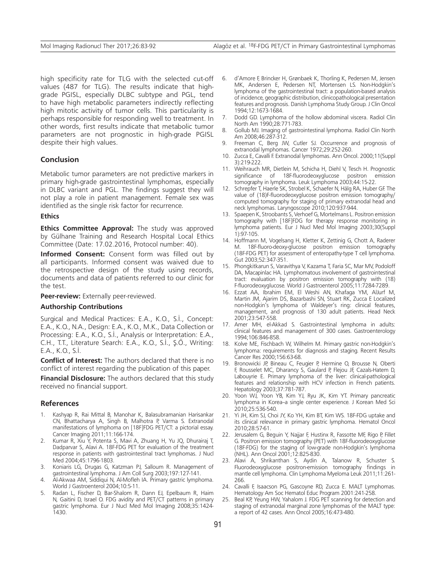high specificity rate for TLG with the selected cut-off values (487 for TLG). The results indicate that highgrade PGISL, especially DLBC subtype and PGL, tend to have high metabolic parameters indirectly reflecting high mitotic activity of tumor cells. This particularity is perhaps responsible for responding well to treatment. In other words, first results indicate that metabolic tumor parameters are not prognostic in high-grade PGISL despite their high values.

## **Conclusion**

Metabolic tumor parameters are not predictive markers in primary high-grade gastrointestinal lymphomas, especially in DLBC variant and PGL. The findings suggest they will not play a role in patient management. Female sex was identified as the single risk factor for recurrence.

#### **Ethics**

**Ethics Committee Approval:** The study was approved by Gülhane Training and Research Hospital Local Ethics Committee (Date: 17.02.2016, Protocol number: 40).

**Informed Consent:** Consent form was filled out by all participants. Informed consent was waived due to the retrospective design of the study using records, documents and data of patients referred to our clinic for the test.

**Peer-review:** Externally peer-reviewed.

#### **Authorship Contributions**

Surgical and Medical Practices: E.A., K.O., S.İ., Concept: E.A., K.O., N.A., Design: E.A., K.O., M.K., Data Collection or Processing: E.A., K.O., S.İ., Analysis or Interpretation: E.A., C.H., T.T., Literature Search: E.A., K.O., S.İ., Ş.Ö., Writing: E.A., K.O., S.İ.

**Conflict of Interest:** The authors declared that there is no conflict of interest regarding the publication of this paper.

**Financial Disclosure:** The authors declared that this study received no financial support.

#### **References**

- 1. Kashyap R, Rai Mittal B, Manohar K, Balasubramanian Harisankar CN, Bhattacharya A, Singh B, Malhotra P, Varma S. Extranodal manifestations of lymphoma on [18F]FDG PET/CT: a pictorial essay. Cancer Imaging 2011;11:166-174.
- 2. Kumar R, Xiu Y, Potenta S, Mavi A, Zhuang H, Yu JQ, Dhurairaj T, Dadparvar S, Alavi A. 18F-FDG PET for evaluation of the treatment response in patients with gastrointestinal tract lymphomas. J Nucl Med 2004;45:1796-1803.
- 3. Koniaris LG, Drugas G, Katzman PJ, Salloum R. Management of gastrointestinal lymphoma. J Am Coll Surg 2003;197:127-141.
- 4. Al-Akwaa AM, Siddiqui N, Al-Mofleh IA. Primary gastric lymphoma. World J Gastroenterol 2004;10:5-11.
- 5. Radan L, Fischer D, Bar-Shalom R, Dann EJ, Epelbaum R, Haim N, Gaitini D, Israel O. FDG avidity and PET/CT patterns in primary gastric lymphoma. Eur J Nucl Med Mol Imaging 2008;35:1424- 1430.
- d'Amore F, Brincker H, Grønbaek K, Thorling K, Pedersen M, Jensen MK, Andersen E, Pedersen NT, Mortensen LS. Non-Hodgkin's lymphoma of the gastrointestinal tract: a population-based analysis of incidence, geographic distribution, clinicopathological presentation features and prognosis. Danish Lymphoma Study Group. J Clin Oncol 1994;12:1673-1684.
- 7. Dodd GD. Lymphoma of the hollow abdominal viscera. Radiol Clin North Am 1990;28:771-783.
- 8. Gollub MJ. Imaging of gastrointestinal lymphoma. Radiol Clin North Am 2008;46:287-312.
- 9. Freeman C, Berg JW, Cutler SJ. Occurrence and prognosis of extranodal lymphomas. Cancer 1972;29:252-260.
- 10. Zucca E, Cavalli F. Extranodal lymphomas. Ann Oncol. 2000;11(Suppl 3):219-222.
- 11. Weihrauch MR, Dietlein M, Schicha H, Diehl V, Tesch H. Prognostic significance of 18F-fluorodeoxyglucose positron emission tomography in lymphoma. Leuk Lymphoma 2003;44:15-22.
- 12. Schrepfer T, Haerle SK, Strobel K, Schaefer N, Hälg RA, Huber GF. The value of (18)F-fluorodeoxyglucose positron emission tomography/ computed tomography for staging of primary extranodal head and neck lymphomas. Laryngoscope 2010;120:937-944.
- 13. Spaepen K, Stroobants S, Verhoef G, Mortelmans L. Positron emission tomography with [18F]FDG for therapy response monitoring in lymphoma patients. Eur J Nucl Med Mol Imaging 2003;30(Suppl 1):97-105.
- 14. Hoffmann M, Vogelsang H, Kletter K, Zettinig G, Chott A, Raderer M. 18F-fluoro-deoxy-glucose positron emission tomography (18F-FDG PET) for assessment of enteropathy-type T cell lymphoma. Gut 2003;52:347-351.
- 15. Phongkitkarun S, Varavithya V, Kazama T, Faria SC, Mar MV, Podoloff DA, Macapinlac HA. Lymphomatous involvement of gastrointestinal tract: evaluation by positron emission tomography with (18) F-fluorodeoxyglucose. World J Gastroenterol 2005;11:7284-7289.
- 16. Ezzat AA, Ibrahim EM, El Weshi AN, Khafaga YM, AlJurf M, Martin JM, Ajarim DS, Bazarbashi SN, Stuart RK, Zucca E Localized non-Hodgkin's lymphoma of Waldeyer's ring: clinical features, management, and prognosis of 130 adult patients. Head Neck 2001;23:547-558.
- 17. Amer MH, el-Akkad S. Gastrointestinal lymphoma in adults: clinical features and management of 300 cases. Gastroenterology 1994;106:846-858.
- 18. Kolve ME, Fischbach W, Wilhelm M. Primary gastric non-Hodgkin's lymphoma: requirements for diagnosis and staging. Recent Results Cancer Res 2000;156:63-68.
- 19. Bronowicki JP, Bineau C, Feugier P, Hermine O, Brousse N, Oberti F, Rousselet MC, Dharancy S, Gaulard P, Flejou JF, Cazals-Hatem D, Labouyrie E. Primary lymphoma of the liver: clinical-pathological features and relationship with HCV infection in French patients. Hepatology 2003;37:781-787.
- 20. Yoon WJ, Yoon YB, Kim YJ, Ryu JK, Kim YT. Primary pancreatic lymphoma in Korea-a single center experience. J Korean Med Sci 2010;25:536-540.
- 21. Yi JH, Kim SJ, Choi JY, Ko YH, Kim BT, Kim WS. 18F-FDG uptake and its clinical relevance in primary gastric lymphoma. Hematol Oncol 2010;28:57-61.
- 22. Jerusalem G, Beguin Y, Najjar F, Hustinx R, Fassotte MF, Rigo P, Fillet G. Positron emission tomography (PET) with 18F-fluorodeoxyglucose (18F-FDG) for the staging of low-grade non-Hodgkin's lymphoma (NHL). Ann Oncol 2001;12:825-830.
- 23. Alavi A, Shrikanthan S, Aydin A, Talanow R, Schuster S. Fluorodeoxyglucose positron-emission tomography findings in mantle cell lymphoma. Clin Lymphoma Myeloma Leuk 2011;11:261- 266.
- 24. Cavalli F, Isaacson PG, Gascoyne RD, Zucca E. MALT Lymphomas. Hematology Am Soc Hematol Educ Program 2001:241-258.
- 25. Beal KP, Yeung HW, Yahalom J. FDG PET scanning for detection and staging of extranodal marginal zone lymphomas of the MALT type: a report of 42 cases. Ann Oncol 2005;16:473-480.